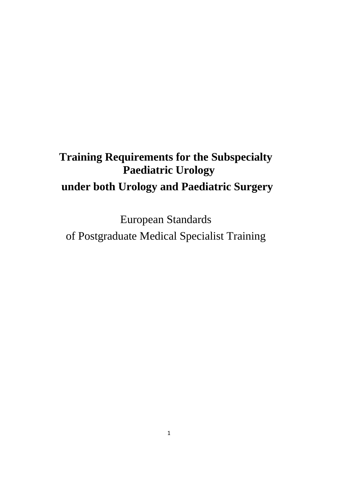# **Training Requirements for the Subspecialty Paediatric Urology under both Urology and Paediatric Surgery**

European Standards of Postgraduate Medical Specialist Training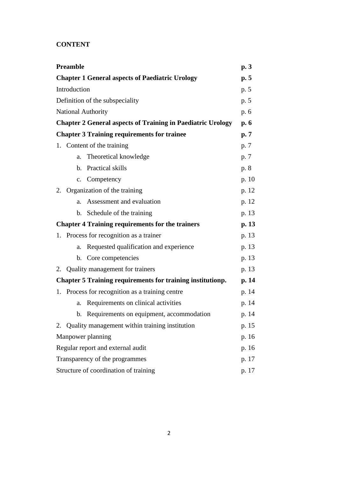# **CONTENT**

| <b>Preamble</b>                                                    | p.3   |  |  |  |
|--------------------------------------------------------------------|-------|--|--|--|
| <b>Chapter 1 General aspects of Paediatric Urology</b>             | p.5   |  |  |  |
| Introduction                                                       |       |  |  |  |
| Definition of the subspeciality                                    |       |  |  |  |
| National Authority                                                 |       |  |  |  |
| <b>Chapter 2 General aspects of Training in Paediatric Urology</b> | p.6   |  |  |  |
| <b>Chapter 3 Training requirements for trainee</b>                 | p.7   |  |  |  |
| 1. Content of the training                                         | p. 7  |  |  |  |
| Theoretical knowledge<br>a.                                        | p. 7  |  |  |  |
| Practical skills<br>$\mathbf b$ .                                  | p. 8  |  |  |  |
| c. Competency                                                      | p. 10 |  |  |  |
| 2. Organization of the training                                    | p. 12 |  |  |  |
| Assessment and evaluation<br>a.                                    | p. 12 |  |  |  |
| b. Schedule of the training                                        | p. 13 |  |  |  |
| <b>Chapter 4 Training requirements for the trainers</b>            | p. 13 |  |  |  |
| 1. Process for recognition as a trainer                            | p. 13 |  |  |  |
| Requested qualification and experience<br>a.                       | p. 13 |  |  |  |
| Core competencies<br>$\mathbf b$ .                                 | p. 13 |  |  |  |
| Quality management for trainers<br>2.                              | p. 13 |  |  |  |
| <b>Chapter 5 Training requirements for training institutionp.</b>  | p. 14 |  |  |  |
| 1. Process for recognition as a training centre                    | p. 14 |  |  |  |
| Requirements on clinical activities<br>a.                          | p. 14 |  |  |  |
| Requirements on equipment, accommodation<br>$\mathbf{b}$ .         | p. 14 |  |  |  |
| 2. Quality management within training institution                  | p. 15 |  |  |  |
| Manpower planning                                                  | p. 16 |  |  |  |
| Regular report and external audit                                  |       |  |  |  |
| Transparency of the programmes                                     |       |  |  |  |
| Structure of coordination of training                              | p. 17 |  |  |  |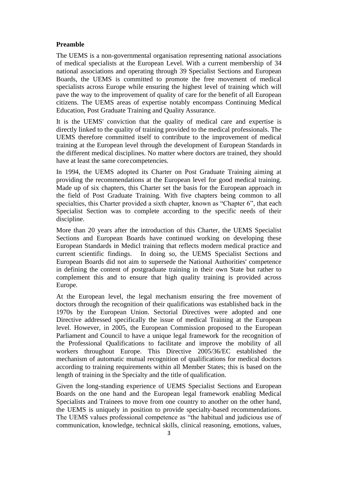## **Preamble**

The UEMS is a non-governmental organisation representing national associations of medical specialists at the European Level. With a current membership of 34 national associations and operating through 39 Specialist Sections and European Boards, the UEMS is committed to promote the free movement of medical specialists across Europe while ensuring the highest level of training which will pave the way to the improvement of quality of care for the benefit of all European citizens. The UEMS areas of expertise notably encompass Continuing Medical Education, Post Graduate Training and Quality Assurance.

It is the UEMS' conviction that the quality of medical care and expertise is directly linked to the quality of training provided to the medical professionals. The UEMS therefore committed itself to contribute to the improvement of medical training at the European level through the development of European Standards in the different medical disciplines. No matter where doctors are trained, they should have at least the same corecompetencies.

In 1994, the UEMS adopted its Charter on Post Graduate Training aiming at providing the recommendations at the European level for good medical training. Made up of six chapters, this Charter set the basis for the European approach in the field of Post Graduate Training. With five chapters being common to all specialties, this Charter provided a sixth chapter, known as "Chapter 6", that each Specialist Section was to complete according to the specific needs of their discipline.

More than 20 years after the introduction of this Charter, the UEMS Specialist Sections and European Boards have continued working on developing these European Standards in Medicl training that reflects modern medical practice and current scientific findings. In doing so, the UEMS Specialist Sections and European Boards did not aim to supersede the National Authorities' competence in defining the content of postgraduate training in their own State but rather to complement this and to ensure that high quality training is provided across Europe.

At the European level, the legal mechanism ensuring the free movement of doctors through the recognition of their qualifications was established back in the 1970s by the European Union. Sectorial Directives were adopted and one Directive addressed specifically the issue of medical Training at the European level. However, in 2005, the European Commission proposed to the European Parliament and Council to have a unique legal framework for the recognition of the Professional Qualifications to facilitate and improve the mobility of all workers throughout Europe. This Directive 2005/36/EC established the mechanism of automatic mutual recognition of qualifications for medical doctors according to training requirements within all Member States; this is based on the length of training in the Specialty and the title of qualification.

Given the long-standing experience of UEMS Specialist Sections and European Boards on the one hand and the European legal framework enabling Medical Specialists and Trainees to move from one country to another on the other hand, the UEMS is uniquely in position to provide specialty-based recommendations. The UEMS values professional competence as "the habitual and judicious use of communication, knowledge, technical skills, clinical reasoning, emotions, values,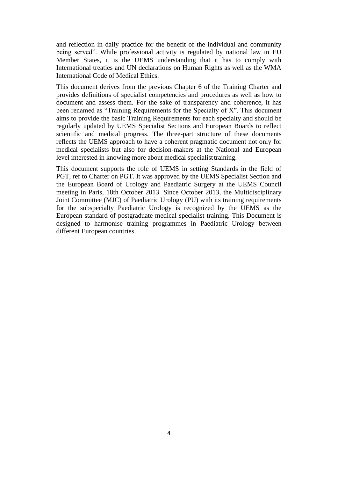and reflection in daily practice for the benefit of the individual and community being served". While professional activity is regulated by national law in EU Member States, it is the UEMS understanding that it has to comply with International treaties and UN declarations on Human Rights as well as the WMA International Code of Medical Ethics.

This document derives from the previous Chapter 6 of the Training Charter and provides definitions of specialist competencies and procedures as well as how to document and assess them. For the sake of transparency and coherence, it has been renamed as "Training Requirements for the Specialty of X". This document aims to provide the basic Training Requirements for each specialty and should be regularly updated by UEMS Specialist Sections and European Boards to reflect scientific and medical progress. The three-part structure of these documents reflects the UEMS approach to have a coherent pragmatic document not only for medical specialists but also for decision-makers at the National and European level interested in knowing more about medical specialist training.

This document supports the role of UEMS in setting Standards in the field of PGT, ref to Charter on PGT. It was approved by the UEMS Specialist Section and the European Board of Urology and Paediatric Surgery at the UEMS Council meeting in Paris, 18th October 2013. Since October 2013, the Multidisciplinary Joint Committee (MJC) of Paediatric Urology (PU) with its training requirements for the subspecialty Paediatric Urology is recognized by the UEMS as the European standard of postgraduate medical specialist training. This Document is designed to harmonise training programmes in Paediatric Urology between different European countries.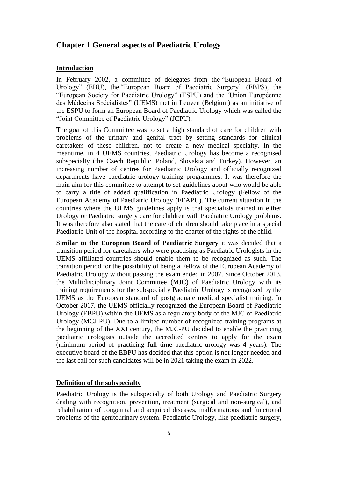## **Chapter 1 General aspects of Paediatric Urology**

## **Introduction**

In February 2002, a committee of delegates from the ["European Board of](http://www.ebu.com/)  [Urology" \(EBU\),](http://www.ebu.com/) the ["European Board of Paediatric Surgery" \(EBPS\),](http://www.paediatricsurgeryexam.org/) the "European Society for Paediatric Urology" (ESPU) and the ["Union Européenne](https://www.uems.eu/)  [des Médecins Spécialistes" \(UEMS\)](https://www.uems.eu/) met in Leuven (Belgium) as an initiative of the ESPU to form an European Board of Paediatric Urology which was called the "Joint Committee of Paediatric Urology" (JCPU).

The goal of this Committee was to set a high standard of care for children with problems of the urinary and genital tract by setting standards for clinical caretakers of these children, not to create a new medical specialty. In the meantime, in 4 UEMS countries, Paediatric Urology has become a recognised subspecialty (the Czech Republic, Poland, Slovakia and Turkey). However, an increasing number of centres for Paediatric Urology and officially recognized departments have paediatric urology training programmes. It was therefore the main aim for this committee to attempt to set guidelines about who would be able to carry a title of added qualification in Paediatric Urology (Fellow of the European Academy of Paediatric Urology (FEAPU). The current situation in the countries where the UEMS guidelines apply is that specialists trained in either Urology or Paediatric surgery care for children with Paediatric Urology problems. It was therefore also stated that the care of children should take place in a special Paediatric Unit of the hospital according to the charter of the rights of the child.

**Similar to the European Board of Paediatric Surgery** it was decided that a transition period for caretakers who were practising as Paediatric Urologists in the UEMS affiliated countries should enable them to be recognized as such. The transition period for the possibility of being a Fellow of the European Academy of Paediatric Urology without passing the exam ended in 2007. Since October 2013, the Multidisciplinary Joint Committee (MJC) of Paediatric Urology with its training requirements for the subspecialty Paediatric Urology is recognized by the UEMS as the European standard of postgraduate medical specialist training. In October 2017, the UEMS officially recognized the European Board of Paediatric Urology (EBPU) within the UEMS as a regulatory body of the MJC of Paediatric Urology (MCJ-PU). Due to a limited number of recognized training programs at the beginning of the XXI century, the MJC-PU decided to enable the practicing paediatric urologists outside the accredited centres to apply for the exam (minimum period of practicing full time paediatric urology was 4 years). The executive board of the EBPU has decided that this option is not longer needed and the last call for such candidates will be in 2021 taking the exam in 2022.

## **Definition of the subspecialty**

Paediatric Urology is the subspecialty of both Urology and Paediatric Surgery dealing with recognition, prevention, treatment (surgical and non-surgical), and rehabilitation of congenital and acquired diseases, malformations and functional problems of the genitourinary system. Paediatric Urology, like paediatric surgery,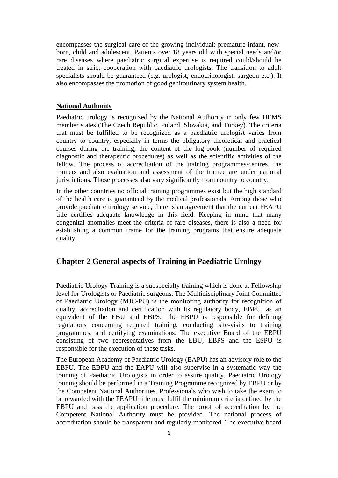encompasses the surgical care of the growing individual: premature infant, newborn, child and adolescent. Patients over 18 years old with special needs and/or rare diseases where paediatric surgical expertise is required could/should be treated in strict cooperation with paediatric urologists. The transition to adult specialists should be guaranteed (e.g. urologist, endocrinologist, surgeon etc.). It also encompasses the promotion of good genitourinary system health.

## **National Authority**

Paediatric urology is recognized by the National Authority in only few UEMS member states (The Czech Republic, Poland, Slovakia, and Turkey). The criteria that must be fulfilled to be recognized as a paediatric urologist varies from country to country, especially in terms the obligatory theoretical and practical courses during the training, the content of the log-book (number of required diagnostic and therapeutic procedures) as well as the scientific activities of the fellow. The process of accreditation of the training programmes/centres, the trainers and also evaluation and assessment of the trainee are under national jurisdictions. Those processes also vary significantly from country to country.

In the other countries no official training programmes exist but the high standard of the health care is guaranteed by the medical professionals. Among those who provide paediatric urology service, there is an agreement that the current FEAPU title certifies adequate knowledge in this field. Keeping in mind that many congenital anomalies meet the criteria of rare diseases, there is also a need for establishing a common frame for the training programs that ensure adequate quality.

# **Chapter 2 General aspects of Training in Paediatric Urology**

Paediatric Urology Training is a subspecialty training which is done at Fellowship level for Urologists or Paediatric surgeons. The Multidisciplinary Joint Committee of Paediatric Urology (MJC-PU) is the monitoring authority for recognition of quality, accreditation and certification with its regulatory body, EBPU, as an equivalent of the EBU and EBPS. The EBPU is responsible for defining regulations concerning required training, conducting site-visits to training programmes, and certifying examinations. The executive Board of the EBPU consisting of two representatives from the EBU, EBPS and the ESPU is responsible for the execution of these tasks.

The European Academy of Paediatric Urology (EAPU) has an advisory role to the EBPU. The EBPU and the EAPU will also supervise in a systematic way the training of Paediatric Urologists in order to assure quality. Paediatric Urology training should be performed in a Training Programme recognized by EBPU or by the Competent National Authorities. Professionals who wish to take the exam to be rewarded with the FEAPU title must fulfil the minimum criteria defined by the EBPU and pass the application procedure. The proof of accreditation by the Competent National Authority must be provided. The national process of accreditation should be transparent and regularly monitored. The executive board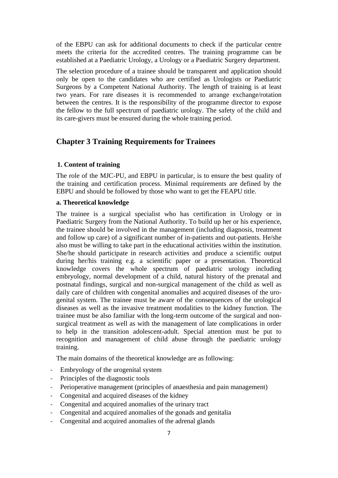of the EBPU can ask for additional documents to check if the particular centre meets the criteria for the accredited centres. The training programme can be established at a Paediatric Urology, a Urology or a Paediatric Surgery department.

The selection procedure of a trainee should be transparent and application should only be open to the candidates who are certified as Urologists or Paediatric Surgeons by a Competent National Authority. The length of training is at least two years. For rare diseases it is recommended to arrange exchange/rotation between the centres. It is the responsibility of the programme director to expose the fellow to the full spectrum of paediatric urology. The safety of the child and its care-givers must be ensured during the whole training period.

# **Chapter 3 Training Requirements for Trainees**

## **1. Content of training**

The role of the MJC-PU, and EBPU in particular, is to ensure the best quality of the training and certification process. Minimal requirements are defined by the EBPU and should be followed by those who want to get the FEAPU title.

## **a. Theoretical knowledge**

The trainee is a surgical specialist who has certification in Urology or in Paediatric Surgery from the National Authority. To build up her or his experience, the trainee should be involved in the management (including diagnosis, treatment and follow up care) of a significant number of in-patients and out-patients. He/she also must be willing to take part in the educational activities within the institution. She/he should participate in research activities and produce a scientific output during her/his training e.g. a scientific paper or a presentation. Theoretical knowledge covers the whole spectrum of paediatric urology including embryology, normal development of a child, natural history of the prenatal and postnatal findings, surgical and non-surgical management of the child as well as daily care of children with congenital anomalies and acquired diseases of the urogenital system. The trainee must be aware of the consequences of the urological diseases as well as the invasive treatment modalities to the kidney function. The trainee must be also familiar with the long-term outcome of the surgical and nonsurgical treatment as well as with the management of late complications in order to help in the transition adolescent-adult. Special attention must be put to recognition and management of child abuse through the paediatric urology training.

The main domains of the theoretical knowledge are as following:

- Embryology of the urogenital system
- Principles of the diagnostic tools
- Perioperative management (principles of anaesthesia and pain management)
- Congenital and acquired diseases of the kidney
- Congenital and acquired anomalies of the urinary tract
- Congenital and acquired anomalies of the gonads and genitalia
- Congenital and acquired anomalies of the adrenal glands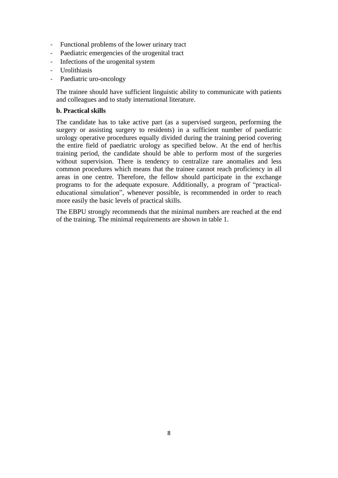- Functional problems of the lower urinary tract
- Paediatric emergencies of the urogenital tract
- Infections of the urogenital system
- Urolithiasis
- Paediatric uro-oncology

The trainee should have sufficient linguistic ability to communicate with patients and colleagues and to study international literature.

## **b. Practical skills**

The candidate has to take active part (as a supervised surgeon, performing the surgery or assisting surgery to residents) in a sufficient number of paediatric urology operative procedures equally divided during the training period covering the entire field of paediatric urology as specified below. At the end of her/his training period, the candidate should be able to perform most of the surgeries without supervision. There is tendency to centralize rare anomalies and less common procedures which means that the trainee cannot reach proficiency in all areas in one centre. Therefore, the fellow should participate in the exchange programs to for the adequate exposure. Additionally, a program of "practicaleducational simulation", whenever possible, is recommended in order to reach more easily the basic levels of practical skills.

The EBPU strongly recommends that the minimal numbers are reached at the end of the training. The minimal requirements are shown in table 1.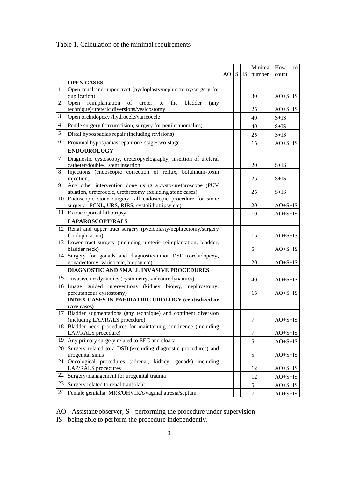# Table 1. Calculation of the minimal requirements

|                |                                                                                                                          | AO S | IS | Minimal How<br>number | to<br>count |
|----------------|--------------------------------------------------------------------------------------------------------------------------|------|----|-----------------------|-------------|
|                | <b>OPEN CASES</b>                                                                                                        |      |    |                       |             |
| 1              | Open renal and upper tract (pyeloplasty/nephrectomy/surgery for                                                          |      |    |                       |             |
|                | duplication)                                                                                                             |      |    | 30                    | $AO+S+IS$   |
| $\overline{2}$ | of ureter<br>reimplantation<br>the<br>bladder<br>Open<br>to<br>(any)<br>technique)/ureteric diversions/vesicostomy       |      |    | 25                    | $AO+S+IS$   |
| 3              | Open orchidopexy /hydrocele/varicocele                                                                                   |      |    | 40                    | $S+IS$      |
| 4              | Penile surgery (circumcision, surgery for penile anomalies)                                                              |      |    | 40                    | $S+IS$      |
| 5              | Distal hypospadias repair (including revisions)                                                                          |      |    | 25                    | $S+IS$      |
| 6              | Proximal hypospadias repair one-stage/two-stage                                                                          |      |    | 15                    | $AO+S+IS$   |
|                | <b>ENDOUROLOGY</b>                                                                                                       |      |    |                       |             |
| 7              | Diagnostic cystoscopy, ureteropyelography, insertion of ureteral<br>catheter/double-J stent insertion                    |      |    | 20                    | $S+IS$      |
| 8              | Injections (endoscopic correction of reflux, botulinum-toxin                                                             |      |    |                       |             |
|                | injection)                                                                                                               |      |    | 25                    | $S+IS$      |
| 9              | Any other intervention done using a cysto-urethroscope (PUV<br>ablation, ureterocele, urethrotomy excluding stone cases) |      |    | 25                    | $S+IS$      |
| 10             | Endoscopic stone surgery (all endoscopic procedure for stone                                                             |      |    |                       |             |
|                | surgery - PCNL, URS, RIRS, cystolithotripsy etc)                                                                         |      |    | 20                    | $AO+S+IS$   |
|                | 11 Extracorporeal lithotripsy                                                                                            |      |    | 10                    | $AO+S+IS$   |
|                | <b>LAPAROSCOPY/RALS</b>                                                                                                  |      |    |                       |             |
| 12             | Renal and upper tract surgery (pyeloplasty/nephrectomy/surgery<br>for duplication)                                       |      |    | 15                    | $AO+S+IS$   |
|                | 13 Lower tract surgery (including ureteric reimplantation, bladder,<br>bladder neck)                                     |      |    | 5                     | $AO+S+IS$   |
| 14             | Surgery for gonads and diagnostic/minor DSD (orchidopexy,<br>gonadectomy, varicocele, biopsy etc)                        |      |    | 20                    | $AO+S+IS$   |
|                | DIAGNOSTIC AND SMALL INVASIVE PROCEDURES                                                                                 |      |    |                       |             |
| 15             | Invasive urodynamics (cystometry, videourodynamics)                                                                      |      |    | 40                    | $AO+S+IS$   |
| 16             | Image guided interventions (kidney biopsy, nephrostomy,<br>percutaneous cystostomy)                                      |      |    | 15                    | $AO+S+IS$   |
|                | <b>INDEX CASES IN PAEDIATRIC UROLOGY (centralized or</b>                                                                 |      |    |                       |             |
|                | rare cases)                                                                                                              |      |    |                       |             |
|                | 17 Bladder augmentations (any technique) and continent diversion<br>(including LAP/RALS procedure)                       |      |    | 7                     | $AO+S+IS$   |
| 18             | Bladder neck procedures for maintaining continence (including                                                            |      |    |                       |             |
|                | LAP/RALS procedure)                                                                                                      |      |    | $\overline{7}$        | $AO+S+IS$   |
| 19             | Any primary surgery related to EEC and cloaca                                                                            |      |    | 5                     | $AO+S+IS$   |
| 20             | Surgery related to a DSD (excluding diagnostic procedures) and<br>urogenital sinus                                       |      |    | 5                     | $AO+S+IS$   |
| 21             | Oncological procedures (adrenal, kidney, gonads) including<br>LAP/RALS procedures                                        |      |    | 12                    | $AO+S+IS$   |
| 22             | Surgery/management for urogenital trauma                                                                                 |      |    | 12                    | $AO+S+IS$   |
| 23             | Surgery related to renal transplant                                                                                      |      |    | $\mathfrak s$         | $AO+S+IS$   |
| 24             | Female genitalia: MRS/OHVIRA/vaginal atresia/septum                                                                      |      |    | $\boldsymbol{7}$      | $AO+S+IS$   |

AO - Assistant/observer; S - performing the procedure under supervision

IS - being able to perform the procedure independently.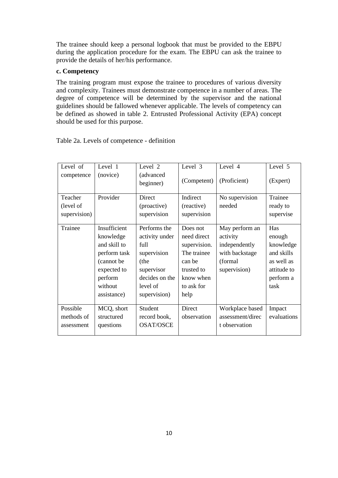The trainee should keep a personal logbook that must be provided to the EBPU during the application procedure for the exam. The EBPU can ask the trainee to provide the details of her/his performance.

## **c. Competency**

The training program must expose the trainee to procedures of various diversity and complexity. Trainees must demonstrate competence in a number of areas. The degree of competence will be determined by the supervisor and the national guidelines should be fallowed whenever applicable. The levels of competency can be defined as showed in table 2. Entrusted Professional Activity (EPA) concept should be used for this purpose.

| Level of     | Level 1      | Level 2                | Level 3      | Level 4          | Level 5     |
|--------------|--------------|------------------------|--------------|------------------|-------------|
| competence   | (novice)     | (advanced<br>beginner) | (Competent)  | (Proficient)     | (Expert)    |
| Teacher      | Provider     | Direct                 | Indirect     | No supervision   | Trainee     |
| (level of    |              | (proactive)            | (reactive)   | needed           | ready to    |
| supervision) |              | supervision            | supervision  |                  | supervise   |
|              |              |                        |              |                  |             |
| Trainee      | Insufficient | Performs the           | Does not     | May perform an   | Has         |
|              | knowledge    | activity under         | need direct  | activity         | enough      |
|              | and skill to | full                   | supervision. | independently    | knowledge   |
|              | perform task | supervision            | The trainee  | with backstage   | and skills  |
|              | (cannot be   | (the                   | can be       | (formal          | as well as  |
|              | expected to  | supervisor             | trusted to   | supervision)     | attitude to |
|              | perform      | decides on the         | know when    |                  | perform a   |
|              | without      | level of               | to ask for   |                  | task        |
|              | assistance)  | supervision)           | help         |                  |             |
|              |              |                        |              |                  |             |
| Possible     | MCQ, short   | Student                | Direct       | Workplace based  | Impact      |
| methods of   | structured   | record book,           | observation  | assessment/direc | evaluations |
| assessment   | questions    | <b>OSAT/OSCE</b>       |              | t observation    |             |
|              |              |                        |              |                  |             |

Table 2a. Levels of competence - definition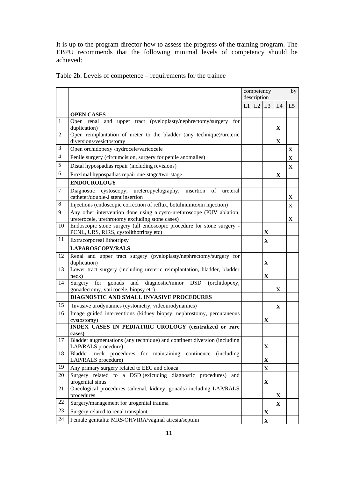It is up to the program director how to assess the progress of the training program. The EBPU recommends that the following minimal levels of competency should be achieved:

|                |                                                                                                                          | competency<br>description<br>$L1$ $L2$ $L3$ |  |              |              | by             |
|----------------|--------------------------------------------------------------------------------------------------------------------------|---------------------------------------------|--|--------------|--------------|----------------|
|                |                                                                                                                          |                                             |  |              |              |                |
|                |                                                                                                                          |                                             |  |              | L4           | L <sub>5</sub> |
|                | <b>OPEN CASES</b>                                                                                                        |                                             |  |              |              |                |
| 1              | Open renal and upper tract (pyeloplasty/nephrectomy/surgery for<br>duplication)                                          |                                             |  |              | X            |                |
| 2              | Open reimplantation of ureter to the bladder (any technique)/ureteric<br>diversions/vesictostomy                         |                                             |  |              | X            |                |
| 3              | Open orchidopexy /hydrocele/varicocele                                                                                   |                                             |  |              |              | X              |
| $\overline{4}$ | Penile surgery (circumcision, surgery for penile anomalies)                                                              |                                             |  |              |              | $\mathbf X$    |
| 5              | Distal hypospadias repair (including revisions)                                                                          |                                             |  |              |              | $\mathbf X$    |
| 6              | Proximal hypospadias repair one-stage/two-stage                                                                          |                                             |  |              | X            |                |
|                | <b>ENDOUROLOGY</b>                                                                                                       |                                             |  |              |              |                |
| 7              | Diagnostic cystoscopy, ureteropyelography,<br>insertion<br>οf<br>ureteral<br>catheter/double-J stent insertion           |                                             |  |              |              | X              |
| 8              | Injections (endoscopic correction of reflux, botulinumtoxin injection)                                                   |                                             |  |              |              | X              |
| 9              | Any other intervention done using a cysto-urethroscope (PUV ablation,<br>ureterocele, urethrotomy excluding stone cases) |                                             |  |              |              | X              |
| 10             | Endoscopic stone surgery (all endoscopic procedure for stone surgery -<br>PCNL, URS, RIRS, cystolithotripsy etc)         |                                             |  | X            |              |                |
| 11             | Extracorporeal lithotripsy                                                                                               |                                             |  | X            |              |                |
|                | <b>LAPAROSCOPY/RALS</b>                                                                                                  |                                             |  |              |              |                |
| 12             | Renal and upper tract surgery (pyeloplasty/nephrectomy/surgery for<br>duplication)                                       |                                             |  | X            |              |                |
| 13             | Lower tract surgery (including ureteric reimplantation, bladder, bladder<br>neck)                                        |                                             |  | X            |              |                |
| 14             | Surgery<br>for<br>gonads<br>diagnostic/minor DSD<br>and<br>(orchidopexy,<br>gonadectomy, varicocele, biopsy etc)         |                                             |  |              | X            |                |
|                | DIAGNOSTIC AND SMALL INVASIVE PROCEDURES                                                                                 |                                             |  |              |              |                |
| 15             | Invasive urodynamics (cystometry, videourodynamics)                                                                      |                                             |  |              | X            |                |
| 16             | Image guided interventions (kidney biopsy, nephrostomy, percutaneous<br>cystostomy)                                      |                                             |  | X            |              |                |
|                | INDEX CASES IN PEDIATRIC UROLOGY (centralized or rare<br>cases)                                                          |                                             |  |              |              |                |
| 17             | Bladder augmentations (any technique) and continent diversion (including<br>LAP/RALS procedure)                          |                                             |  | $\mathbf X$  |              |                |
| 18             | Bladder neck procedures for maintaining continence (including<br>LAP/RALS procedure)                                     |                                             |  | $\mathbf X$  |              |                |
| 19             | Any primary surgery related to EEC and cloaca                                                                            |                                             |  | X            |              |                |
| 20             | Surgery related to a DSD (exlcuding diagnostic procedures) and<br>urogenital sinus                                       |                                             |  | $\mathbf{X}$ |              |                |
| 21             | Oncological procedures (adrenal, kidney, gonads) including LAP/RALS<br>procedures                                        |                                             |  |              | X            |                |
| 22             | Surgery/management for urogenital trauma                                                                                 |                                             |  |              | $\mathbf{X}$ |                |
| 23             | Surgery related to renal transplant                                                                                      |                                             |  | X            |              |                |
| 24             | Female genitalia: MRS/OHVIRA/vaginal atresia/septum                                                                      |                                             |  | $\mathbf{X}$ |              |                |

Table 2b. Levels of competence – requirements for the trainee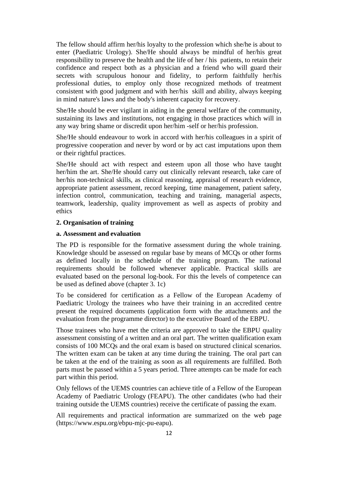The fellow should affirm her/his loyalty to the profession which she/he is about to enter (Paediatric Urology). She/He should always be mindful of her/his great responsibility to preserve the health and the life of her / his patients, to retain their confidence and respect both as a physician and a friend who will guard their secrets with scrupulous honour and fidelity, to perform faithfully her/his professional duties, to employ only those recognized methods of treatment consistent with good judgment and with her/his skill and ability, always keeping in mind nature's laws and the body's inherent capacity for recovery.

She/He should be ever vigilant in aiding in the general welfare of the community, sustaining its laws and institutions, not engaging in those practices which will in any way bring shame or discredit upon her/him -self or her/his profession.

She/He should endeavour to work in accord with her/his colleagues in a spirit of progressive cooperation and never by word or by act cast imputations upon them or their rightful practices.

She/He should act with respect and esteem upon all those who have taught her/him the art. She/He should carry out clinically relevant research, take care of her/his non-technical skills, as clinical reasoning, appraisal of research evidence, appropriate patient assessment, record keeping, time management, patient safety, infection control, communication, teaching and training, managerial aspects, teamwork, leadership, quality improvement as well as aspects of probity and ethics

## **2. Organisation of training**

## **a. Assessment and evaluation**

The PD is responsible for the formative assessment during the whole training. Knowledge should be assessed on regular base by means of MCQs or other forms as defined locally in the schedule of the training program. The national requirements should be followed whenever applicable. Practical skills are evaluated based on the personal log-book. For this the levels of competence can be used as defined above (chapter 3. 1c)

To be considered for certification as a Fellow of the European Academy of Paediatric Urology the trainees who have their training in an accredited centre present the required documents (application form with the attachments and the evaluation from the programme director) to the executive Board of the EBPU.

Those trainees who have met the criteria are approved to take the EBPU quality assessment consisting of a written and an oral part. The written qualification exam consists of 100 MCQs and the oral exam is based on structured clinical scenarios. The written exam can be taken at any time during the training. The oral part can be taken at the end of the training as soon as all requirements are fulfilled. Both parts must be passed within a 5 years period. Three attempts can be made for each part within this period.

Only fellows of the UEMS countries can achieve title of a Fellow of the European Academy of Paediatric Urology (FEAPU). The other candidates (who had their training outside the UEMS countries) receive the certificate of passing the exam.

All requirements and practical information are summarized on the web page (https://www.espu.org/ebpu-mjc-pu-eapu).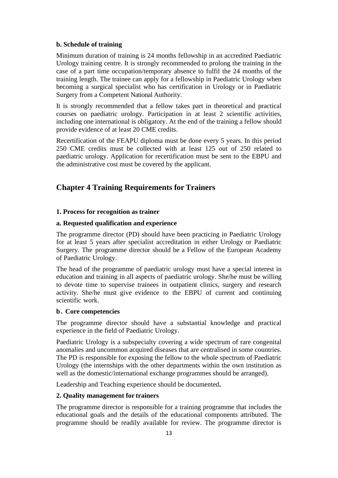## **b. Schedule of training**

Minimum duration of training is 24 months fellowship in an accredited Paediatric Urology training centre. It is strongly recommended to prolong the training in the case of a part time occupation/temporary absence to fulfil the 24 months of the training length. The trainee can apply for a fellowship in Paediatric Urology when becoming a surgical specialist who has certification in Urology or in Paediatric Surgery from a Competent National Authority.

It is strongly recommended that a fellow takes part in theoretical and practical courses on paediatric urology. Participation in at least 2 scientific activities, including one international is obligatory. At the end of the training a fellow should provide evidence of at least 20 CME credits.

Recertification of the FEAPU diploma must be done every 5 years. In this period 250 CME credits must be collected with at least 125 out of 250 related to paediatric urology. Application for recertification must be sent to the EBPU and the administrative cost must be covered by the applicant.

# **Chapter 4 Training Requirements for Trainers**

## **1. Process for recognition as trainer**

## **a. Requested qualification and experience**

The programme director (PD) should have been practicing in Paediatric Urology for at least 5 years after specialist accreditation in either Urology or Paediatric Surgery. The programme director should be a Fellow of the European Academy of Paediatric Urology.

The head of the programme of paediatric urology must have a special interest in education and training in all aspects of paediatric urology. She/he must be willing to devote time to supervise trainees in outpatient clinics, surgery and research activity. She/he must give evidence to the EBPU of current and continuing scientific work.

## **b. Core competencies**

The programme director should have a substantial knowledge and practical experience in the field of Paediatric Urology.

Paediatric Urology is a subspecialty covering a wide spectrum of rare congenital anomalies and uncommon acquired diseases that are centralised in some countries. The PD is responsible for exposing the fellow to the whole spectrum of Paediatric Urology (the internships with the other departments within the own institution as well as the domestic/international exchange programmes should be arranged).

Leadership and Teaching experience should be documented**.**

## **2. Quality management for trainers**

The programme director is responsible for a training programme that includes the educational goals and the details of the educational components attributed. The programme should be readily available for review. The programme director is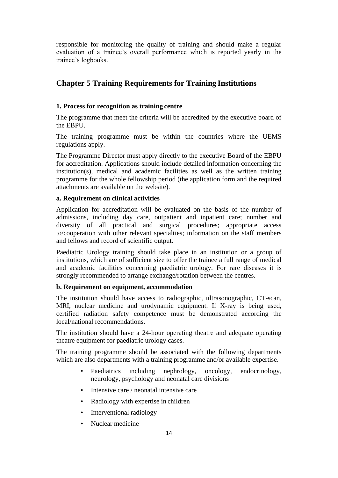responsible for monitoring the quality of training and should make a regular evaluation of a trainee's overall performance which is reported yearly in the trainee's logbooks.

# **Chapter 5 Training Requirements for Training Institutions**

## **1. Process for recognition as training centre**

The programme that meet the criteria will be accredited by the executive board of the EBPU.

The training programme must be within the countries where the UEMS regulations apply.

The Programme Director must apply directly to the executive Board of the EBPU for accreditation. Applications should include detailed information concerning the institution(s), medical and academic facilities as well as the written training programme for the whole fellowship period (the application form and the required attachments are available on the website).

## **a. Requirement on clinical activities**

Application for accreditation will be evaluated on the basis of the number of admissions, including day care, outpatient and inpatient care; number and diversity of all practical and surgical procedures; appropriate access to/cooperation with other relevant specialties; information on the staff members and fellows and record of scientific output.

Paediatric Urology training should take place in an institution or a group of institutions, which are of sufficient size to offer the trainee a full range of medical and academic facilities concerning paediatric urology. For rare diseases it is strongly recommended to arrange exchange/rotation between the centres.

## **b. Requirement on equipment, accommodation**

The institution should have access to radiographic, ultrasonographic, CT-scan, MRI, nuclear medicine and urodynamic equipment. If X-ray is being used, certified radiation safety competence must be demonstrated according the local/national recommendations.

The institution should have a 24-hour operating theatre and adequate operating theatre equipment for paediatric urology cases.

The training programme should be associated with the following departments which are also departments with a training programme and/or available expertise.

- Paediatrics including nephrology, oncology, endocrinology, neurology, psychology and neonatal care divisions
- Intensive care / neonatal intensive care
- Radiology with expertise in children
- Interventional radiology
- Nuclear medicine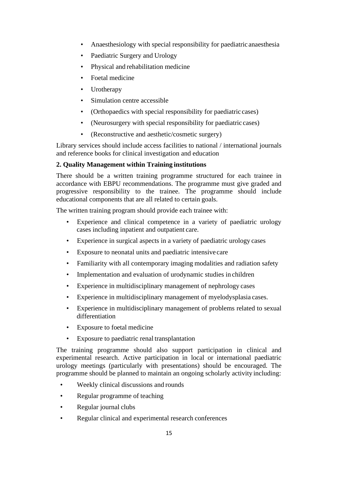- Anaesthesiology with special responsibility for paediatric anaesthesia
- Paediatric Surgery and Urology
- Physical and rehabilitation medicine
- Foetal medicine
- Urotherapy
- Simulation centre accessible
- (Orthopaedics with special responsibility for paediatric cases)
- (Neurosurgery with special responsibility for paediatric cases)
- (Reconstructive and aesthetic/cosmetic surgery)

Library services should include access facilities to national / international journals and reference books for clinical investigation and education

## **2. Quality Management within Training institutions**

There should be a written training programme structured for each trainee in accordance with EBPU recommendations. The programme must give graded and progressive responsibility to the trainee. The programme should include educational components that are all related to certain goals.

The written training program should provide each trainee with:

- Experience and clinical competence in a variety of paediatric urology cases including inpatient and outpatient care.
- Experience in surgical aspects in a variety of paediatric urology cases
- Exposure to neonatal units and paediatric intensive care
- Familiarity with all contemporary imaging modalities and radiation safety
- Implementation and evaluation of urodynamic studies in children
- Experience in multidisciplinary management of nephrology cases
- Experience in multidisciplinary management of myelodysplasia cases.
- Experience in multidisciplinary management of problems related to sexual differentiation
- Exposure to foetal medicine
- Exposure to paediatric renal transplantation

The training programme should also support participation in clinical and experimental research. Active participation in local or international paediatric urology meetings (particularly with presentations) should be encouraged. The programme should be planned to maintain an ongoing scholarly activity including:

- Weekly clinical discussions and rounds
- Regular programme of teaching
- Regular journal clubs
- Regular clinical and experimental research conferences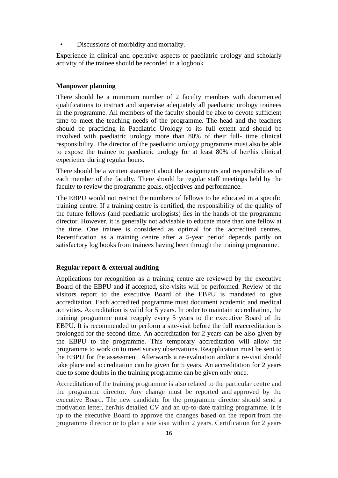• Discussions of morbidity and mortality.

Experience in clinical and operative aspects of paediatric urology and scholarly activity of the trainee should be recorded in a logbook

## **Manpower planning**

There should be a minimum number of 2 faculty members with documented qualifications to instruct and supervise adequately all paediatric urology trainees in the programme. All members of the faculty should be able to devote sufficient time to meet the teaching needs of the programme. The head and the teachers should be practicing in Paediatric Urology to its full extent and should be involved with paediatric urology more than 80% of their full- time clinical responsibility. The director of the paediatric urology programme must also be able to expose the trainee to paediatric urology for at least 80% of her/his clinical experience during regular hours.

There should be a written statement about the assignments and responsibilities of each member of the faculty. There should be regular staff meetings held by the faculty to review the programme goals, objectives and performance.

The EBPU would not restrict the numbers of fellows to be educated in a specific training centre. If a training centre is certified, the responsibility of the quality of the future fellows (and paediatric urologists) lies in the hands of the programme director. However, it is generally not advisable to educate more than one fellow at the time. One trainee is considered as optimal for the accredited centres. Recertification as a training centre after a 5-year period depends partly on satisfactory log books from trainees having been through the training programme.

## **Regular report & external auditing**

Applications for recognition as a training centre are reviewed by the executive Board of the EBPU and if accepted, site-visits will be performed. Review of the visitors report to the executive Board of the EBPU is mandated to give accreditation. Each accredited programme must document academic and medical activities. Accreditation is valid for 5 years. In order to maintain accreditation, the training programme must reapply every 5 years to the executive Board of the EBPU. It is recommended to perform a site-visit before the full reaccreditation is prolonged for the second time. An accreditation for 2 years can be also given by the EBPU to the programme. This temporary accreditation will allow the programme to work on to meet survey observations. Reapplication must be sent to the EBPU for the assessment. Afterwards a re-evaluation and/or a re-visit should take place and accreditation can be given for 5 years. An accreditation for 2 years due to some doubts in the training programme can be given only once.

Accreditation of the training programme is also related to the particular centre and the programme director. Any change must be reported and approved by the executive Board. The new candidate for the programme director should send a motivation letter, her/his detailed CV and an up-to-date training programme. It is up to the executive Board to approve the changes based on the report from the programme director or to plan a site visit within 2 years. Certification for 2 years